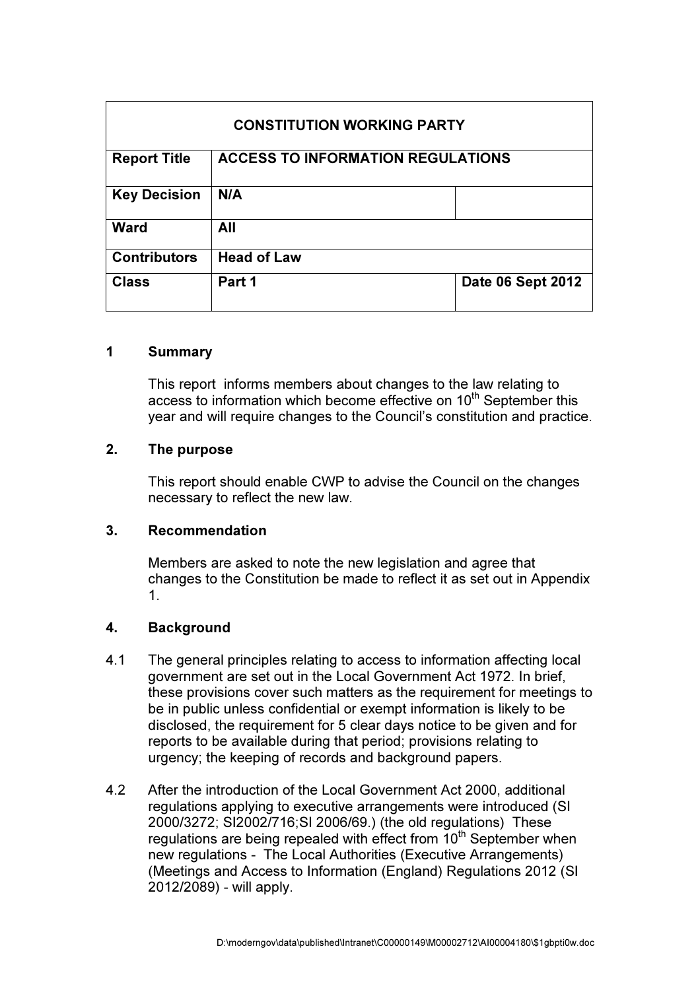| <b>CONSTITUTION WORKING PARTY</b> |                                          |                   |
|-----------------------------------|------------------------------------------|-------------------|
| <b>Report Title</b>               | <b>ACCESS TO INFORMATION REGULATIONS</b> |                   |
| <b>Key Decision</b>               | N/A                                      |                   |
| <b>Ward</b>                       | All                                      |                   |
| <b>Contributors</b>               | <b>Head of Law</b>                       |                   |
| <b>Class</b>                      | Part 1                                   | Date 06 Sept 2012 |

### 1 Summary

This report informs members about changes to the law relating to access to information which become effective on  $10<sup>th</sup>$  September this year and will require changes to the Council's constitution and practice.

#### 2. The purpose

This report should enable CWP to advise the Council on the changes necessary to reflect the new law.

#### 3. Recommendation

Members are asked to note the new legislation and agree that changes to the Constitution be made to reflect it as set out in Appendix 1.

### 4. Background

- 4.1 The general principles relating to access to information affecting local government are set out in the Local Government Act 1972. In brief, these provisions cover such matters as the requirement for meetings to be in public unless confidential or exempt information is likely to be disclosed, the requirement for 5 clear days notice to be given and for reports to be available during that period; provisions relating to urgency; the keeping of records and background papers.
- 4.2 After the introduction of the Local Government Act 2000, additional regulations applying to executive arrangements were introduced (SI 2000/3272; SI2002/716;SI 2006/69.) (the old regulations) These regulations are being repealed with effect from  $10<sup>th</sup>$  September when new regulations - The Local Authorities (Executive Arrangements) (Meetings and Access to Information (England) Regulations 2012 (SI 2012/2089) - will apply.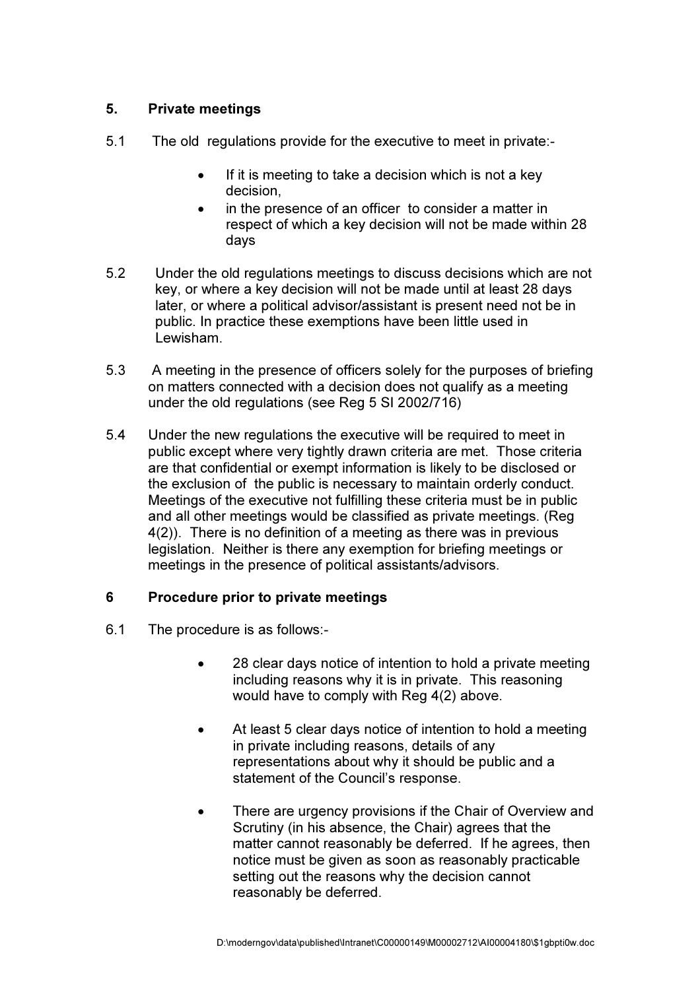## 5. Private meetings

- 5.1 The old regulations provide for the executive to meet in private:-
	- If it is meeting to take a decision which is not a key decision,
	- in the presence of an officer to consider a matter in respect of which a key decision will not be made within 28 days
- 5.2 Under the old regulations meetings to discuss decisions which are not key, or where a key decision will not be made until at least 28 days later, or where a political advisor/assistant is present need not be in public. In practice these exemptions have been little used in Lewisham.
- 5.3 A meeting in the presence of officers solely for the purposes of briefing on matters connected with a decision does not qualify as a meeting under the old regulations (see Reg 5 SI 2002/716)
- 5.4 Under the new regulations the executive will be required to meet in public except where very tightly drawn criteria are met. Those criteria are that confidential or exempt information is likely to be disclosed or the exclusion of the public is necessary to maintain orderly conduct. Meetings of the executive not fulfilling these criteria must be in public and all other meetings would be classified as private meetings. (Reg 4(2)). There is no definition of a meeting as there was in previous legislation. Neither is there any exemption for briefing meetings or meetings in the presence of political assistants/advisors.

### 6 Procedure prior to private meetings

- 6.1 The procedure is as follows:-
	- 28 clear days notice of intention to hold a private meeting including reasons why it is in private. This reasoning would have to comply with Reg 4(2) above.
	- At least 5 clear days notice of intention to hold a meeting in private including reasons, details of any representations about why it should be public and a statement of the Council's response.
	- There are urgency provisions if the Chair of Overview and Scrutiny (in his absence, the Chair) agrees that the matter cannot reasonably be deferred. If he agrees, then notice must be given as soon as reasonably practicable setting out the reasons why the decision cannot reasonably be deferred.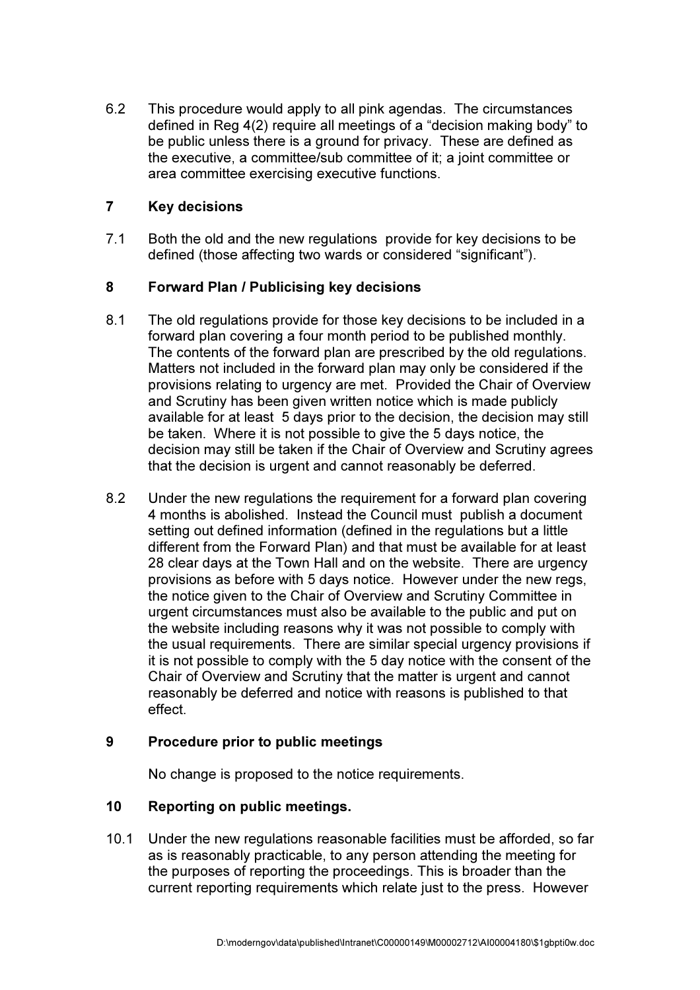6.2 This procedure would apply to all pink agendas. The circumstances defined in Reg 4(2) require all meetings of a "decision making body" to be public unless there is a ground for privacy. These are defined as the executive, a committee/sub committee of it; a joint committee or area committee exercising executive functions.

### 7 Key decisions

7.1 Both the old and the new regulations provide for key decisions to be defined (those affecting two wards or considered "significant").

### 8 Forward Plan / Publicising key decisions

- 8.1 The old regulations provide for those key decisions to be included in a forward plan covering a four month period to be published monthly. The contents of the forward plan are prescribed by the old regulations. Matters not included in the forward plan may only be considered if the provisions relating to urgency are met. Provided the Chair of Overview and Scrutiny has been given written notice which is made publicly available for at least 5 days prior to the decision, the decision may still be taken. Where it is not possible to give the 5 days notice, the decision may still be taken if the Chair of Overview and Scrutiny agrees that the decision is urgent and cannot reasonably be deferred.
- 8.2 Under the new regulations the requirement for a forward plan covering 4 months is abolished. Instead the Council must publish a document setting out defined information (defined in the regulations but a little different from the Forward Plan) and that must be available for at least 28 clear days at the Town Hall and on the website. There are urgency provisions as before with 5 days notice. However under the new regs, the notice given to the Chair of Overview and Scrutiny Committee in urgent circumstances must also be available to the public and put on the website including reasons why it was not possible to comply with the usual requirements. There are similar special urgency provisions if it is not possible to comply with the 5 day notice with the consent of the Chair of Overview and Scrutiny that the matter is urgent and cannot reasonably be deferred and notice with reasons is published to that effect.

### 9 Procedure prior to public meetings

No change is proposed to the notice requirements.

### 10 Reporting on public meetings.

10.1 Under the new regulations reasonable facilities must be afforded, so far as is reasonably practicable, to any person attending the meeting for the purposes of reporting the proceedings. This is broader than the current reporting requirements which relate just to the press. However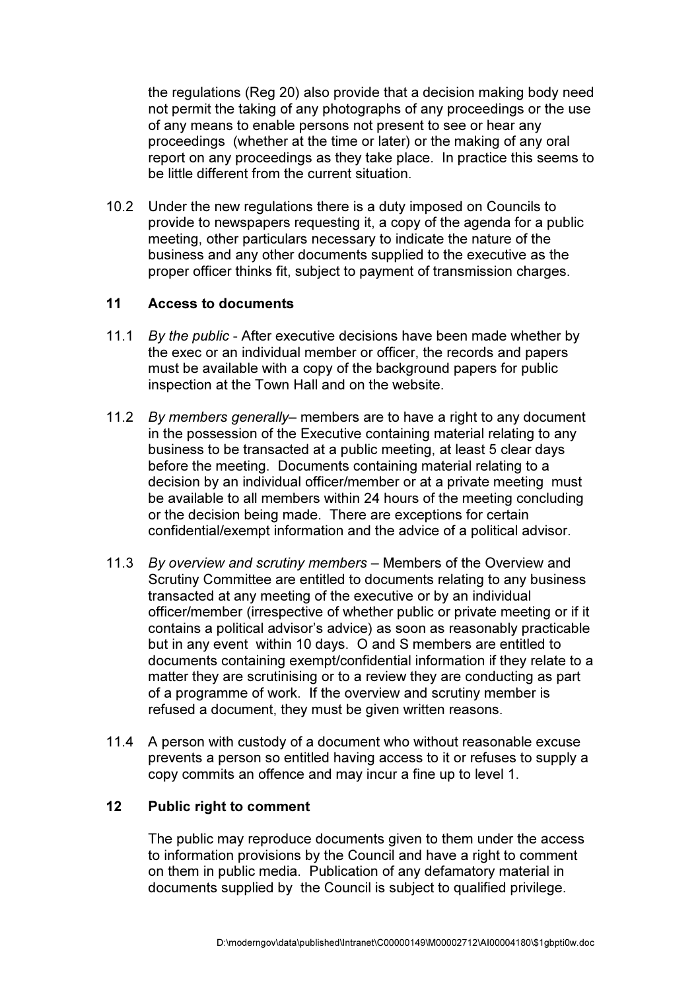the regulations (Reg 20) also provide that a decision making body need not permit the taking of any photographs of any proceedings or the use of any means to enable persons not present to see or hear any proceedings (whether at the time or later) or the making of any oral report on any proceedings as they take place. In practice this seems to be little different from the current situation.

10.2 Under the new regulations there is a duty imposed on Councils to provide to newspapers requesting it, a copy of the agenda for a public meeting, other particulars necessary to indicate the nature of the business and any other documents supplied to the executive as the proper officer thinks fit, subject to payment of transmission charges.

## 11 Access to documents

- 11.1 By the public After executive decisions have been made whether by the exec or an individual member or officer, the records and papers must be available with a copy of the background papers for public inspection at the Town Hall and on the website.
- 11.2 By members generally– members are to have a right to any document in the possession of the Executive containing material relating to any business to be transacted at a public meeting, at least 5 clear days before the meeting. Documents containing material relating to a decision by an individual officer/member or at a private meeting must be available to all members within 24 hours of the meeting concluding or the decision being made. There are exceptions for certain confidential/exempt information and the advice of a political advisor.
- 11.3 By overview and scrutiny members Members of the Overview and Scrutiny Committee are entitled to documents relating to any business transacted at any meeting of the executive or by an individual officer/member (irrespective of whether public or private meeting or if it contains a political advisor's advice) as soon as reasonably practicable but in any event within 10 days. O and S members are entitled to documents containing exempt/confidential information if they relate to a matter they are scrutinising or to a review they are conducting as part of a programme of work. If the overview and scrutiny member is refused a document, they must be given written reasons.
- 11.4 A person with custody of a document who without reasonable excuse prevents a person so entitled having access to it or refuses to supply a copy commits an offence and may incur a fine up to level 1.

### 12 Public right to comment

The public may reproduce documents given to them under the access to information provisions by the Council and have a right to comment on them in public media. Publication of any defamatory material in documents supplied by the Council is subject to qualified privilege.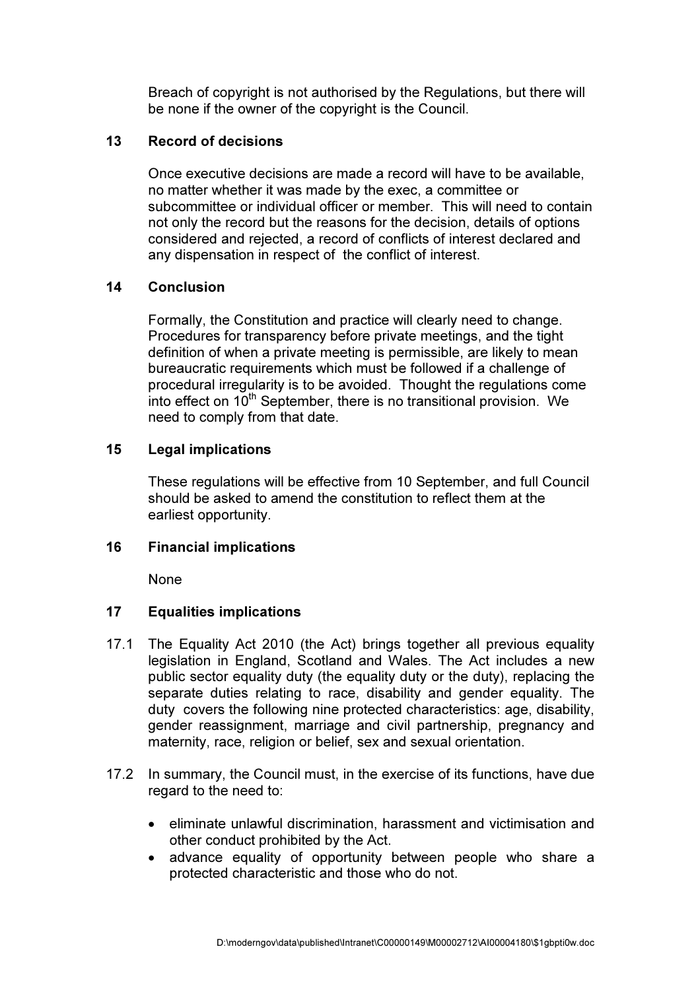Breach of copyright is not authorised by the Regulations, but there will be none if the owner of the copyright is the Council.

### 13 Record of decisions

Once executive decisions are made a record will have to be available, no matter whether it was made by the exec, a committee or subcommittee or individual officer or member. This will need to contain not only the record but the reasons for the decision, details of options considered and rejected, a record of conflicts of interest declared and any dispensation in respect of the conflict of interest.

### 14 Conclusion

Formally, the Constitution and practice will clearly need to change. Procedures for transparency before private meetings, and the tight definition of when a private meeting is permissible, are likely to mean bureaucratic requirements which must be followed if a challenge of procedural irregularity is to be avoided. Thought the regulations come into effect on  $10<sup>th</sup>$  September, there is no transitional provision. We need to comply from that date.

### 15 Legal implications

These regulations will be effective from 10 September, and full Council should be asked to amend the constitution to reflect them at the earliest opportunity.

### 16 Financial implications

None

# 17 Equalities implications

- 17.1 The Equality Act 2010 (the Act) brings together all previous equality legislation in England, Scotland and Wales. The Act includes a new public sector equality duty (the equality duty or the duty), replacing the separate duties relating to race, disability and gender equality. The duty covers the following nine protected characteristics: age, disability, gender reassignment, marriage and civil partnership, pregnancy and maternity, race, religion or belief, sex and sexual orientation.
- 17.2 In summary, the Council must, in the exercise of its functions, have due regard to the need to:
	- eliminate unlawful discrimination, harassment and victimisation and other conduct prohibited by the Act.
	- advance equality of opportunity between people who share a protected characteristic and those who do not.